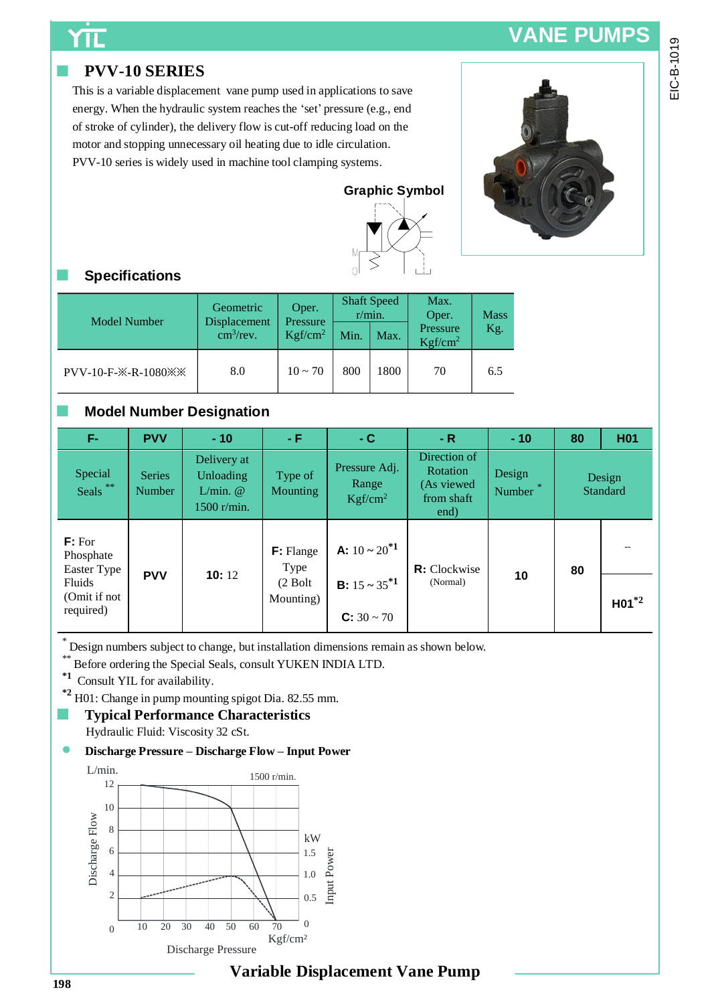# **VANE PUMPS**

# ■ **PVV-10 SERIES**

This is a variable displacement vane pump used in applications to save energy. When the hydraulic system reaches the 'set' pressure (e.g., end of stroke of cylinder), the delivery flow is cut-off reducing load on the motor and stopping unnecessary oil heating due to idle circulation. PVV-10 series is widely used in machine tool clamping systems.

**Graphic Symbol**



# ■ **Specifications**

| <b>Model Number</b> | Geometric<br>Displacement<br>cm <sup>3</sup> /rev. | Oper.<br>Pressure<br>Kgf/cm <sup>2</sup> | <b>Shaft Speed</b><br>r/min.<br>Min.<br>Max. |      | Max.<br>Oper.<br>Pressure<br>Kgf/cm <sup>2</sup> | <b>Mass</b><br>Kg. |
|---------------------|----------------------------------------------------|------------------------------------------|----------------------------------------------|------|--------------------------------------------------|--------------------|
| PVV-10-F-※-R-1080※※ | 8.0                                                | $10 \sim 70$                             | 800                                          | 1800 | 70                                               | 6.5                |

# **■ Model Number Designation**

| F-                                  | <b>PVV</b>              | $-10$                                                     | - F                        | $-C$                                            | $-R$                                                         | $-10$                     | 80 | <b>H01</b>         |                         |
|-------------------------------------|-------------------------|-----------------------------------------------------------|----------------------------|-------------------------------------------------|--------------------------------------------------------------|---------------------------|----|--------------------|-------------------------|
| Special<br>Seals**                  | <b>Series</b><br>Number | Delivery at<br>Unloading<br>$L/min.$ $@$<br>$1500$ r/min. | Type of<br><b>Mounting</b> | Pressure Adj.<br>Range<br>Kgf/cm <sup>2</sup>   | Direction of<br>Rotation<br>(As viewed<br>from shaft<br>end) | Design<br>$\gg$<br>Number |    | Design<br>Standard |                         |
| F: For<br>Phosphate<br>Easter Type  |                         |                                                           | <b>F</b> : Flange<br>Type  | <b>A:</b> $10 \approx 20^{*1}$                  | R: Clockwise                                                 |                           | 80 |                    |                         |
| Fluids<br>(Omit if not<br>required) | <b>PVV</b>              | 10:12<br>$(2$ Bolt                                        | Mounting)                  | <b>B</b> : $15 \sim 35^{*1}$<br>$C: 30 \sim 70$ | (Normal)                                                     |                           | 10 |                    | $H$ 01 $*$ <sup>2</sup> |

\* Design numbers subject to change, but installation dimensions remain as shown below.

Before ordering the Special Seals, consult YUKEN INDIA LTD.

**\*1** Consult YIL for availability.

**\*2** H01: Change in pump mounting spigot Dia. 82.55 mm.

■ **Typical Performance Characteristics** Hydraulic Fluid: Viscosity 32 cSt.

#### **Discharge Pressure – Discharge Flow – Input Power**



# **Variable Displacement Vane Pump**